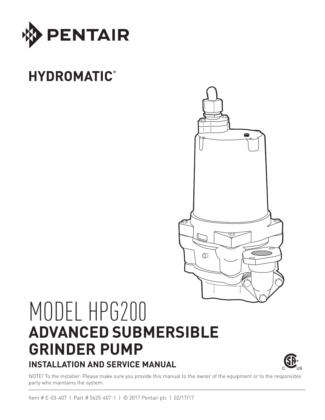

# **HYDROMATIC®**



# MODEL HPG200 **ADVANCED SUBMERSIBLE GRINDER PUMP INSTALLATION AND SERVICE MANUAL**



NOTE! To the installer: Please make sure you provide this manual to the owner of the equipment or to the responsible party who maintains the system.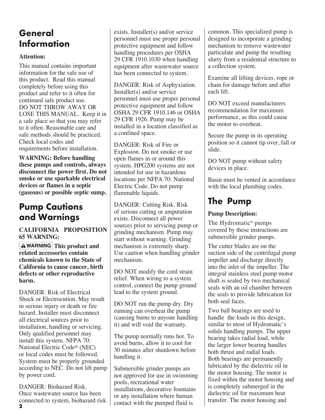# **General Information**

#### **Attention:**

This manual contains important information for the safe use of this product. Read this manual completely before using this product and refer to it often for continued safe product use. DO NOT THROW AWAY OR LOSE THIS MANUAL. Keep it in a safe place so that you may refer to it often. Reasonable care and safe methods should be practiced. Check local codes and requirements before installation.

**WARNING: Before handling these pumps and controls, always disconnect the power first. Do not smoke or use sparkable electrical devices or flames in a septic (gaseous) or possible septic sump.**

# **Pump Cautions and Warnings**

#### **CALIFORNIA PROPOSITION 65 WARNING:**

**AWARNING** This product and **related accessories contain chemicals known to the State of California to cause cancer, birth defects or other reproductive harm.**

DANGER: Risk of Electrical Shock or Electrocution. May result in serious injury or death or fire hazard. Installer must disconnect all electrical sources prior to installation, handling or servicing. Only qualified personnel may install this system. NFPA 70: National Electric Code® (NEC) or local codes must be followed. System must be properly grounded according to NEC. Do not lift pump by power cord.

**2** DANGER: Biohazard Risk. Once wastewater source has been connected to system, biohazard risk exists. Installer(s) and/or service personnel must use proper personal protective equipment and follow handling procedures per OSHA 29 CFR 1910.1030 when handling equipment after wastewater source has been connected to system.

DANGER: Risk of Asphyxiation. Installer(s) and/or service personnel must use proper personal protective equipment and follow OSHA 29 CFR 1910.146 or OSHA 29 CFR 1926. Pump may be installed in a location classified as a confined space.

DANGER: Risk of Fire or Explosion. Do not smoke or use open flames in or around this system. HPG200 systems are not intended for use in hazardous locations per NFPA 70: National Electric Code. Do not pump flammable liquids.

DANGER: Cutting Risk. Risk of serious cutting or amputation exists. Disconnect all power sources prior to servicing pump or grinding mechanism. Pump may start without warning. Grinding mechanism is extremely sharp. Use caution when handling grinder mechanism.

DO NOT modify the cord strain relief. When wiring to a system control, connect the pump ground lead to the system ground.

DO NOT run the pump dry. Dry running can overheat the pump (causing burns to anyone handling it) and will void the warranty.

The pump normally runs hot. To avoid burns, allow it to cool for 30 minutes after shutdown before handling it.

Submersible grinder pumps are not approved for use in swimming pools, recreational water installations, decorative fountains or any installation where human contact with the pumped fluid is

common. This specialized pump is designed to incorporate a grinding mechanism to remove wastewater particulate and pump the resulting slurry from a residential structure to a collection system.

Examine all lifting devices, rope or chain for damage before and after each lift.

DO NOT exceed manufacturers recommendation for maximum performance, as this could cause the motor to overheat.

Secure the pump in its operating position so it cannot tip over, fall or slide.

DO NOT pump without safety devices in place.

Basin must be vented in accordance with the local plumbing codes.

# **The Pump**

### **Pump Description:**

The Hydromatic® pumps covered by these instructions are submersible grinder pumps.

The cutter blades are on the suction side of the centrifugal pump impeller and discharge directly into the inlet of the impeller. The integral stainless steel pump motor shaft is sealed by two mechanical seals with an oil chamber between the seals to provide lubrication for both seal faces.

Two ball bearings are used to handle the loads in this design, similar to most of Hydromatic's solids handling pumps. The upper bearing takes radial load, while the larger lower bearing handles both thrust and radial loads. Both bearings are permanently lubricated by the dielectric oil in the motor housing. The motor is fixed within the motor housing and is completely submerged in the dielectric oil for maximum heat transfer. The motor housing and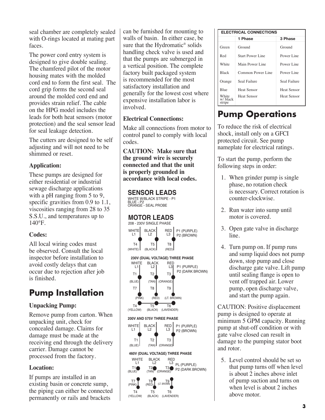seal chamber are completely sealed with O-rings located at mating part faces.

The power cord entry system is designed to give double sealing. The chamfered pilot of the motor housing mates with the molded cord end to form the first seal. The cord grip forms the second seal around the molded cord end and provides strain relief. The cable on the HPG model includes the leads for both heat sensors (motor protection) and the seal sensor lead for seal leakage detection.

The cutters are designed to be self adjusting and will not need to be shimmed or reset.

### **Application:**

These pumps are designed for either residential or industrial sewage discharge applications with a pH ranging from 5 to 9, specific gravities from 0.9 to 1.1, viscosities ranging from 28 to 35 S.S.U., and temperatures up to  $140^\circ F$ .

# **Codes:**

All local wiring codes must be observed. Consult the local inspector before installation to avoid costly delays that can occur due to rejection after job is finished.

# **Pump Installation**

# **Unpacking Pump:**

Remove pump from carton. When unpacking unit, check for concealed damage. Claims for damage must be made at the receiving end through the delivery carrier. Damage cannot be processed from the factory.

# **Location:**

If pumps are installed in an existing basin or concrete sump, the piping can either be connected permanently or rails and brackets

can be furnished for mounting to walls of basin. In either case, be sure that the Hydromatic® solids handling check valve is used and that the pumps are submerged in a vertical position. The complete factory built packaged system is recommended for the most satisfactory installation and generally for the lowest cost where expensive installation labor is involved.

### **Electrical Connections:**

Make all connections from motor to control panel to comply with local codes.

**CAUTION: Make sure that the ground wire is securely connected and that the unit is properly grounded in accordance with local codes.**

### **SENSOR LEADS**

WHITE W/BLACK STRIPE - P1<br>BLUE - P2 ORANGE - SEAL PROBE



| <b>ELECTRICAL CONNECTIONS</b> |                   |                    |  |  |  |  |  |
|-------------------------------|-------------------|--------------------|--|--|--|--|--|
|                               | 1 Phase           | 3 Phase            |  |  |  |  |  |
| Green                         | Ground            | Ground             |  |  |  |  |  |
| Red                           | Start Power Line  | Power Line         |  |  |  |  |  |
| White                         | Main Power Line   | Power Line         |  |  |  |  |  |
| <b>Black</b>                  | Common Power Line | Power Line         |  |  |  |  |  |
| Orange                        | Seal Failure      | Seal Failure       |  |  |  |  |  |
| <b>Blue</b>                   | Heat Sensor       | Heat Sensor        |  |  |  |  |  |
| White<br>w/ black<br>stripe   | Heat Sensor       | <b>Heat Sensor</b> |  |  |  |  |  |

# **Pump Operations**

To reduce the risk of electrical shock, install only on a GFCI protected circuit. See pump nameplate for electrical ratings.

To start the pump, perform the following steps in order:

- 1. When grinder pump is single phase, no rotation check is necessary. Correct rotation is counter-clockwise.
- 2. Run water into sump until motor is covered.
- 3. Open gate valve in discharge line.
- 4. Turn pump on. If pump runs and sump liquid does not pump down, stop pump and close discharge gate valve. Lift pump until sealing flange is open to vent off trapped air. Lower pump, open discharge valve, and start the pump again.

CAUTION: Positive displacement pump is designed to operate at minimum 5 GPM capacity. Running pump at shut-off condition or with gate valve closed can result in damage to the pumping stator boot and rotor.

5. Level control should be set so that pump turns off when level is about 2 inches above inlet of pump suction and turns on when level is about 2 inches above motor.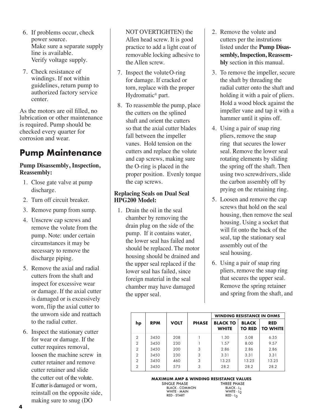- 6. If problems occur, check power source. Make sure a separate supply line is available. Verify voltage supply.
- 7. Check resistance of windings. If not within guidelines, return pump to authorized factory service center.

As the motors are oil filled, no lubrication or other maintenance is required. Pump should be checked every quarter for corrosion and wear.

# **Pump Maintenance**

#### **Pump Disassembly, Inspection, Reassembly:**

- 1. Close gate valve at pump discharge.
- 2. Turn off circuit breaker.
- 3. Remove pump from sump.
- 4. Unscrew cap screws and remove the volute from the pump. Note: under certain circumstances it may be necessary to remove the discharge piping.
- 5. Remove the axial and radial cutters from the shaft and inspect for excessive wear or damage. If the axial cutter is damaged or is excessively worn, flip the axial cutter to the unworn side and reattach to the radial cutter.
- 6. Inspect the stationary cutter for wear or damage. If the cutter requires removal, loosen the machine screw in cutter retainer and remove cutter retainer and slide the cutter out of the volute. If cutter is damaged or worn, reinstall on the opposite side, making sure to snug (DO

NOT OVERTIGHTEN) the Allen head screw. It is good practice to add a light coat of removable locking adhesive to the Allen screw.

- 7. Inspect the volute O-ring for damage. If cracked or torn, replace with the proper Hydromatic® part.
- 8. To reassemble the pump, place the cutters on the splined shaft and orient the cutters so that the axial cutter blades fall between the impeller vanes. Hold tension on the cutters and replace the volute and cap screws, making sure the O-ring is placed in the proper position. Evenly torque the cap screws.

### **Replacing Seals on Dual Seal HPG200 Model:**

1. Drain the oil in the seal chamber by removing the drain plug on the side of the pump. If it contains water, the lower seal has failed and should be replaced. The motor housing should be drained and the upper seal replaced if the lower seal has failed, since foreign material in the seal chamber may have damaged the upper seal.

- 2. Remove the volute and cutters per the instrutions listed under the **Pump Disassembly, Inspection, Reassembly** section in this manual.
- 3. To remove the impeller, secure the shaft by threading the radial cutter onto the shaft and holding it with a pair of pliers. Hold a wood block against the impeller vane and tap it with a hammer until it spins off.
- 4. Using a pair of snap ring pliers, remove the snap ring that secures the lower seal. Remove the lower seal rotating elements by sliding the spring off the shaft. Then using two screwdrivers, slide the carbon assembly off by prying on the retaining ring.
- 5. Loosen and remove the cap screws that hold on the seal housing, then remove the seal housing. Using a socket that will fit onto the back of the seal, tap the stationary seal assembly out of the seal housing.
- 6. Using a pair of snap ring pliers, remove the snap ring that secures the upper seal. Remove the spring retainer and spring from the shaft, and

|                |            |             |              | <b>WINDING RESISTANCE IN OHMS</b> |                               |                               |
|----------------|------------|-------------|--------------|-----------------------------------|-------------------------------|-------------------------------|
| hp             | <b>RPM</b> | <b>VOLT</b> | <b>PHASE</b> | <b>BLACK TO</b><br><b>WHITE</b>   | <b>BLACK</b><br><b>TO RED</b> | <b>RED</b><br><b>TO WHITE</b> |
| $\overline{2}$ | 3450       | 208         |              | 1.30                              | 5.08                          | 6.35                          |
| 2              | 3450       | 230         |              | 1.57                              | 8.00                          | 9.57                          |
| $\mathfrak{D}$ | 3450       | 200         | 3            | 2.86                              | 2.86                          | 2.86                          |
| $\overline{2}$ | 3450       | 230         | 3            | 3.31                              | 3.31                          | 3.31                          |
| $\overline{2}$ | 3450       | 460         | 3            | 13.25                             | 13.25                         | 13.25                         |
| $\overline{2}$ | 3450       | 575         | 3            | 28.2                              | 28.2                          | 28.2                          |

**MAXIMUM AMP & WINDING RESISTANCE VALUES**

SINGLE PHASE THREE PHAS<br>BLACK - COMMON BLACK - L<sub>1</sub> BLACK - COMMON BLACK - L<sub>1</sub><br>WHITE - MAIN WHITE - L<sub>2</sub> WHITE - MAIN WHITE - L2 RED - START RED - L3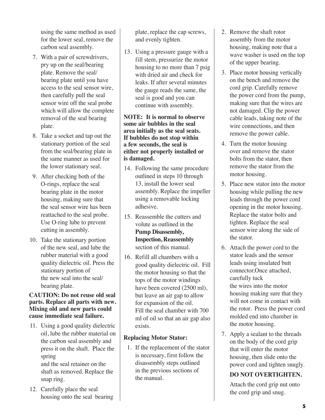using the same method as used for the lower seal, remove the carbon seal assembly.

- 7. With a pair of screwdrivers, pry up on the seal/bearing plate. Remove the seal/ bearing plate until you have access to the seal sensor wire, then carefully pull the seal sensor wire off the seal probe which will allow the complete removal of the seal bearing plate.
- 8. Take a socket and tap out the stationary portion of the seal from the seal/bearing plate in the same manner as used for the lower stationary seal.
- 9. After checking both of the O-rings, replace the seal bearing plate in the motor housing, making sure that the seal sensor wire has been reattached to the seal probe. Use O-ring lube to prevent cutting in assembly.
- 10. Take the stationary portion of the new seal, and lube the rubber material with a good quality dielectric oil. Press the stationary portion of the new seal into the seal/ bearing plate.

#### **CAUTION: Do not reuse old seal parts. Replace all parts with new. Mixing old and new parts could cause immediate seal failure.**

- 11. Using a good quality dielectric oil, lube the rubber material on the carbon seal assembly and press it on the shaft. Place the spring and the seal retainer on the shaft as removed. Replace the snap ring.
- 12. Carefully place the seal housing onto the seal bearing

plate, replace the cap screws, and evenly tighten.

13. Using a pressure gauge with a fill stem, pressurize the motor housing to no more than 7 psig with dried air and check for leaks. If after several minutes the gauge reads the same, the seal is good and you can continue with assembly.

#### **NOTE: It is normal to observe some air bubbles in the seal area initially as the seal seats. If bubbles do not stop within a few seconds, the seal is either not properly installed or is damaged.**

- 14. Following the same procedure outlined in steps 10 through 13, install the lower seal assembly. Replace the impeller using a removable locking adhesive.
- 15. Reassemble the cutters and volute as outlined in the **Pump Disassembly, Inspection, Reassembly** section of this manual.
- 16. Refill all chambers with a good quality dielectric oil. Fill the motor housing so that the tops of the motor windings have been covered (2500 ml), but leave an air gap to allow for expansion of the oil. Fill the seal chamber with 700 ml of oil so that an air gap also exists.

#### **Replacing Motor Stator:**

1. If the replacement of the stator is necessary, first follow the disassembly steps outlined in the previous sections of the manual.

- 2. Remove the shaft rotor assembly from the motor housing, making note that a wave washer is used on the top of the upper bearing.
- 3. Place motor housing vertically on the bench and remove the cord grip. Carefully remove the power cord from the pump, making sure that the wires are not damaged. Clip the power cable leads, taking note of the wire connections, and then remove the power cable.
- 4. Turn the motor housing over and remove the stator bolts from the stator, then remove the stator from the motor housing.
- 5. Place new stator into the motor housing while pulling the new leads through the power cord opening in the motor housing. Replace the stator bolts and tighten. Replace the seal sensor wire along the side of the stator.
- 6. Attach the power cord to the stator leads and the sensor leads using insulated butt connector.Once attached, carefully tuck the wires into the motor housing making sure that they will not come in contact with the rotor. Press the power cord molded end into chamber in the motor housing.
- 7. Apply a sealant to the threads on the body of the cord grip that will enter the motor housing, then slide onto the power cord and tighten snugly.

# **DO NOT OVERTIGHTEN.**

 Attach the cord grip nut onto the cord grip and snug.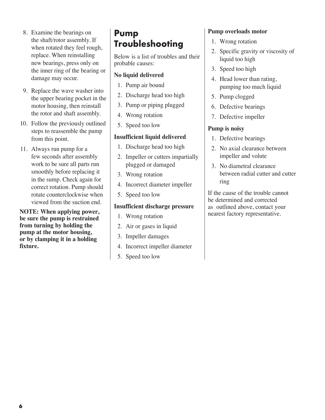- 8. Examine the bearings on the shaft/rotor assembly. If when rotated they feel rough, replace. When reinstalling new bearings, press only on the inner ring of the bearing or damage may occur.
- 9. Replace the wave washer into the upper bearing pocket in the motor housing, then reinstall the rotor and shaft assembly.
- 10. Follow the previously outlined steps to reassemble the pump from this point.
- 11. Always run pump for a few seconds after assembly work to be sure all parts run smoothly before replacing it in the sump. Check again for correct rotation. Pump should rotate counterclockwise when viewed from the suction end.

**NOTE: When applying power, be sure the pump is restrained from turning by holding the pump at the motor housing, or by clamping it in a holding fixture.**

# **Pump Troubleshooting**

Below is a list of troubles and their probable causes:

### **No liquid delivered**

- 1. Pump air bound
- 2. Discharge head too high
- 3. Pump or piping plugged
- 4. Wrong rotation
- 5. Speed too low

#### **Insufficient liquid delivered**

- 1. Discharge head too high
- 2. Impeller or cutters impartially plugged or damaged
- 3. Wrong rotation
- 4. Incorrect diameter impeller
- 5. Speed too low

#### **Insufficient discharge pressure**

- 1. Wrong rotation
- 2. Air or gases in liquid
- 3. Impeller damages
- 4. Incorrect impeller diameter
- 5. Speed too low

# **Pump overloads motor**

- 1. Wrong rotation
- 2. Specific gravity or viscosity of liquid too high
- 3. Speed too high
- 4. Head lower than rating, pumping too much liquid
- 5. Pump clogged
- 6. Defective bearings
- 7. Defective impeller

### **Pump is noisy**

- 1. Defective bearings
- 2. No axial clearance between impeller and volute
- 3. No diametral clearance between radial cutter and cutter ring

If the cause of the trouble cannot be determined and corrected as outlined above, contact your nearest factory representative.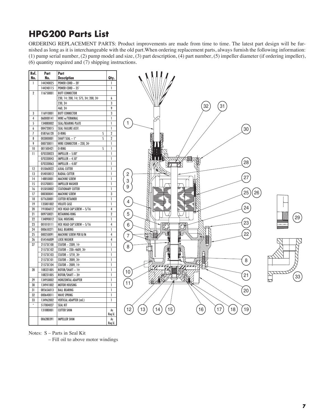# **HPG200 Parts List**

ORDERING REPLACEMENT PARTS: Product improvements are made from time to time. The latest part design will be furnished as long as it is interchangeable with the old part.When ordering replacement parts, always furnish the following information: (1) pump serial number, (2) pump model and size, (3) part description, (4) part number, (5) impeller diameter (if ordering impeller), (6) quantity required and (7) shipping instructions.

| Ref.           | Part      | Part                                 |                |
|----------------|-----------|--------------------------------------|----------------|
| No.            | No.       | Description                          | Qty.           |
| 1              | 144240025 | <b>POWER CORD - 20'</b>              | 1              |
|                | 144240115 | POWER CORD - 35'                     | 1              |
| $\overline{2}$ | 116750001 | <b>BUTT CONNECTOR</b>                |                |
|                |           | 230, 1ф; 200, 1ф; 575, 3ф; 200, 3ф   | 6              |
|                |           | 230.3¢                               | 3              |
|                |           | 460, Зф                              | 9              |
| 3              | 116910001 | <b>BUTT CONNECTOR</b>                | 3              |
| 4              | 060000141 | WIRE w/TERMINAL                      | 1              |
| 5              | 134880002 | <b>SEAL/BEARING PLATE</b>            | l              |
| 6              | 084720015 | SEAL FAILURE ASSY.                   | 1              |
| 7              | 05876A120 | O-RING<br>S                          | $\overline{2}$ |
| 8              | 003000001 | SHAFT SEAL - 1"<br>S                 | $\overline{2}$ |
| 9              | 000730011 | WIRE CONNECTOR $-230, 3\Phi$         | 1              |
| 10             | 001500421 | O-RING<br>S                          | 1              |
| 11             | 070330023 | IMPELLER - 5.00"                     | 1              |
|                | 070330043 | IMPELLER - 4.50"                     | 1              |
|                | 070330063 | $\text{IMPELLER} - \overline{4.00"}$ | l              |
| 12             | 055060022 | <b>AXIAL CUTTER</b>                  | 1              |
| 13             | 054050012 | <b>RADIAL CUTTER</b>                 | l              |
| 14             | 148850001 | <b>MACHINE SCREW</b>                 | 1              |
| 15             | 055700051 | <b>IMPELLER WASHER</b>               | 1              |
| 16             | 055050002 | <b>STATIONARY CUTTER</b>             | 1              |
| 17             | 000300041 | <b>MACHINE SCREW</b>                 | 3              |
| 18             | 077630001 | <b>CUTTER RETAINER</b>               | 1              |
| 19             | 135001002 | <b>VOLUTE CASE</b>                   | 1              |
| 20             | 19100A012 | HEX HEAD CAP SCREW - 5/16            | 4              |
| 21             | 009750021 | <b>RETAINING RING</b>                | $\overline{2}$ |
| 22             | 134890012 | <b>SEAL HOUSING</b>                  | 1              |
| 23             | 001010111 | HEX HEAD CAP SCREW - 5/16            | 4              |
| 24             | 000650271 | <b>BALL BEARING</b>                  | 1              |
| 25             | 000250091 | MACHINE SCREW PER B/M                | 4              |
| 26             | 05454A009 | <b>LOCK WASHER</b>                   | 4              |
| 27             | 21573C100 | STATOR - 230V, 1φ                    | 1              |
|                | 21573C102 | $STATOR - 230 - 460V, 3\Phi$         | 1              |
|                | 21573C103 | $STATOR - 575V, 3\Phi$               | 1              |
|                | 21573C101 | $STATOR - 200V, 3\Phi$               | 1              |
|                | 21573C104 | STATOR - 200V, 1Φ                    | 1              |
| 28             | 108321005 | ROTOR/SHAFT - 1ф                     | 1              |
|                | 108231005 | $ROTOR/SHAFT-3\Phi$                  | 1              |
| 29             | 134950002 | HORIZONTAL ADAPTER                   | 1              |
| 30             | 134941002 | MOTOR HOUSING                        | 1              |
| 31             | 08565A013 | <b>BALL BEARING</b>                  | 1              |
| 32             | 000640011 | <b>WAVE SPRING</b>                   | 1              |
| 33             | 134962002 | <b>VERTICAL ADAPTER (std.)</b>       | 1              |
|                | 517004027 | SEAL KIT                             |                |
|                | 131880001 | <b>CUTTER SHIM</b>                   | As             |
|                |           |                                      | Req′d.         |
|                | 006280391 | <b>IMPELLER SHIM</b>                 | As             |
|                |           |                                      | Reg'd.         |



Notes: S – Parts in Seal Kit

– Fill oil to above motor windings